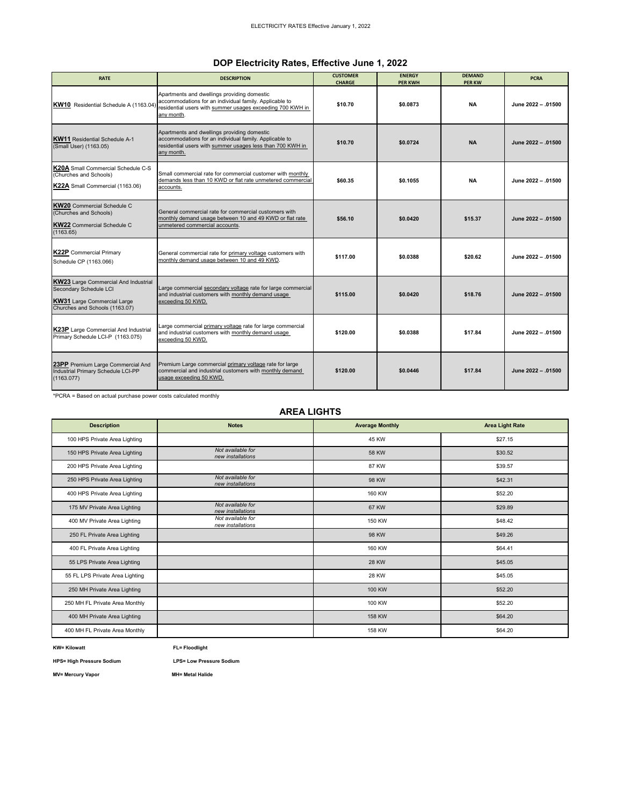## **DOP Electricity Rates, Effective June 1, 2022**

| <b>RATE</b>                                                                                                                                   | <b>DESCRIPTION</b>                                                                                                                                                               | <b>CUSTOMER</b><br><b>ENERGY</b><br><b>CHARGE</b><br><b>PER KWH</b> |          | <b>DEMAND</b><br><b>PER KW</b> | <b>PCRA</b>        |
|-----------------------------------------------------------------------------------------------------------------------------------------------|----------------------------------------------------------------------------------------------------------------------------------------------------------------------------------|---------------------------------------------------------------------|----------|--------------------------------|--------------------|
| KW10 Residential Schedule A (1163.04)                                                                                                         | Apartments and dwellings providing domestic<br>accommodations for an individual family. Applicable to<br>residential users with summer usages exceeding 700 KWH in<br>any month. | \$10.70                                                             | \$0.0873 | <b>NA</b>                      | June 2022 - .01500 |
| <b>KW11</b> Residential Schedule A-1<br>(Small User) (1163.05)                                                                                | Apartments and dwellings providing domestic<br>accommodations for an individual family. Applicable to<br>residential users with summer usages less than 700 KWH in<br>any month. | \$10.70                                                             | \$0.0724 | <b>NA</b>                      | June 2022 - .01500 |
| K20A Small Commercial Schedule C-S<br>(Churches and Schools)<br>K22A Small Commercial (1163.06)                                               | Small commercial rate for commercial customer with monthly<br>demands less than 10 KWD or flat rate unmetered commercial<br>accounts.                                            | \$60.35                                                             | \$0.1055 | <b>NA</b>                      | June 2022 - .01500 |
| <b>KW20</b> Commercial Schedule C<br>(Churches and Schools)<br><b>KW22</b> Commercial Schedule C<br>(1163.65)                                 | General commercial rate for commercial customers with<br>monthly demand usage between 10 and 49 KWD or flat rate<br>unmetered commercial accounts.                               | \$56.10                                                             | \$0.0420 | \$15.37                        | June 2022 - .01500 |
| <b>K22P</b> Commercial Primary<br>Schedule CP (1163.066)                                                                                      | General commercial rate for primary voltage customers with<br>monthly demand usage between 10 and 49 KWD.                                                                        | \$117.00                                                            | \$0.0388 | \$20.62                        | June 2022 - .01500 |
| <b>KW23</b> Large Commercial And Industrial<br>Secondary Schedule LCI<br><b>KW31</b> Large Commercial Large<br>Churches and Schools (1163.07) | Large commercial secondary voltage rate for large commercial<br>and industrial customers with monthly demand usage<br>exceeding 50 KWD.                                          | \$115.00                                                            | \$0.0420 | \$18.76                        | June 2022 - .01500 |
| K23P Large Commercial And Industrial<br>Primary Schedule LCI-P (1163.075)                                                                     | Large commercial primary voltage rate for large commercial<br>and industrial customers with monthly demand usage<br>exceeding 50 KWD.                                            | \$120.00                                                            | \$0.0388 | \$17.84                        | June 2022 - .01500 |
| 23PP Premium Large Commercial And<br>Industrial Primary Schedule LCI-PP<br>(1163.077)                                                         | Premium Large commercial primary voltage rate for large<br>commercial and industrial customers with monthly demand<br>usage exceeding 50 KWD.                                    | \$120.00                                                            | \$0.0446 | \$17.84                        | June 2022 - 01500  |

\*PCRA = Based on actual purchase power costs calculated monthly

### **AREA LIGHTS**

| <b>Description</b>              | <b>Notes</b>                           | <b>Average Monthly</b> | <b>Area Light Rate</b> |
|---------------------------------|----------------------------------------|------------------------|------------------------|
| 100 HPS Private Area Lighting   |                                        | 45 KW                  | \$27.15                |
| 150 HPS Private Area Lighting   | Not available for<br>new installations | 58 KW                  | \$30.52                |
| 200 HPS Private Area Lighting   |                                        | 87 KW                  | \$39.57                |
| 250 HPS Private Area Lighting   | Not available for<br>new installations | 98 KW                  | \$42.31                |
| 400 HPS Private Area Lighting   |                                        | 160 KW                 | \$52.20                |
| 175 MV Private Area Lighting    | Not available for<br>new installations | 67 KW                  | \$29.89                |
| 400 MV Private Area Lighting    | Not available for<br>new installations | 150 KW                 | \$48.42                |
| 250 FL Private Area Lighting    |                                        | 98 KW                  | \$49.26                |
| 400 FL Private Area Lighting    |                                        | 160 KW                 | \$64.41                |
| 55 LPS Private Area Lighting    |                                        | <b>28 KW</b>           | \$45.05                |
| 55 FL LPS Private Area Lighting |                                        | 28 KW                  | \$45.05                |
| 250 MH Private Area Lighting    |                                        | 100 KW                 | \$52.20                |
| 250 MH FL Private Area Monthly  |                                        | 100 KW                 | \$52.20                |
| 400 MH Private Area Lighting    |                                        | 158 KW                 | \$64.20                |
| 400 MH FL Private Area Monthly  |                                        | 158 KW                 | \$64.20                |

**KW= Kilowatt FL= Floodlight**

**HPS= High Pressure Sodium LPS= Low Pressure Sodium**

**MV= Mercury Vapor** MH= Metal Halide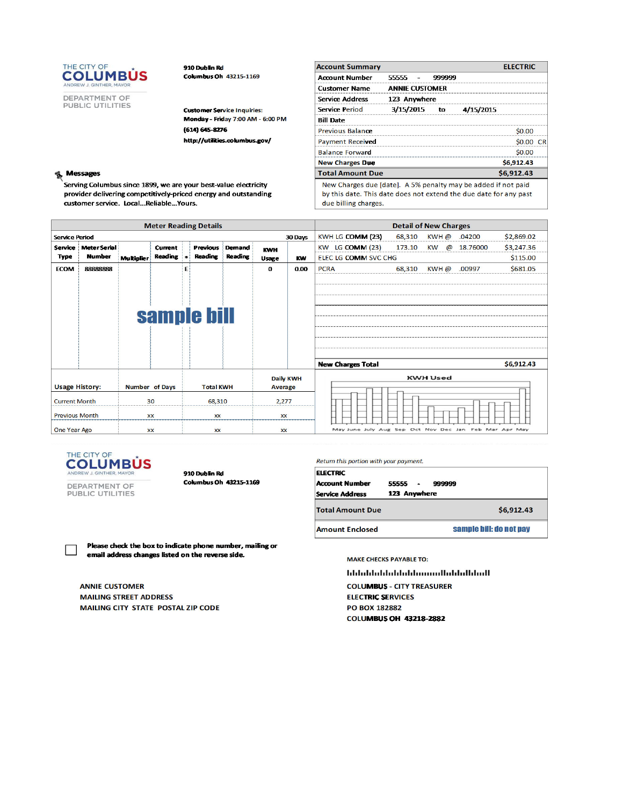

DEPARTMENT OF<br>PUBLIC UTILITIES

910 Dublin Rd Columbus Oh 43215-1169

**Customer Service Inquiries:** Monday - Friday 7:00 AM - 6:00 PM  $(614) 645 - 8276$ http://utilities.columbus.gov/

#### **Messages** B,

Serving Columbus since 1899, we are your best-value electricity provider delivering competitively-priced energy and outstanding customer service. Local...Reliable...Yours.

| <b>Account Summary</b>                                        |                       |        |           | <b>ELECTRIC</b> |  |
|---------------------------------------------------------------|-----------------------|--------|-----------|-----------------|--|
| <b>Account Number</b>                                         | 55555 -               | 999999 |           |                 |  |
| <b>Customer Name</b>                                          | <b>ANNIE CUSTOMER</b> |        |           |                 |  |
| <b>Service Address</b>                                        | 123 Anywhere          |        |           |                 |  |
| Service Period                                                | 3/15/2015             | to     | 4/15/2015 |                 |  |
| <b>Bill Date</b>                                              |                       |        |           |                 |  |
| Previous Balance                                              |                       |        |           |                 |  |
| <b>Payment Received</b>                                       |                       |        |           |                 |  |
| <b>Balance Forward</b>                                        |                       |        |           | so oo           |  |
| <b>New Charges Due</b>                                        |                       |        |           | \$6,912.43      |  |
| <b>Total Amount Due</b>                                       |                       |        |           | \$6,912.43      |  |
| New Charges due [date]. A 5% penalty may be added if not paid |                       |        |           |                 |  |

by this date. This date does not extend the due date for any past due billing charges.

| <b>Meter Reading Details</b>                  |                       |                   |                       |           | <b>Detail of New Charges</b> |                |                    |                  |                                                       |        |                       |          |            |
|-----------------------------------------------|-----------------------|-------------------|-----------------------|-----------|------------------------------|----------------|--------------------|------------------|-------------------------------------------------------|--------|-----------------------|----------|------------|
| <b>Service Period</b>                         |                       |                   |                       |           |                              |                |                    | 30 Days          | KWH LG COMM (23)                                      | 68,310 | KWH@                  | .04200   | \$2,869.02 |
| Service                                       | <b>Meter Serial</b>   |                   | Current               |           | <b>Previous</b>              | <b>Demand</b>  | <b>KWH</b>         |                  | <b>LG COMM (23)</b><br><b>KW</b>                      | 173.10 | <b>KW</b><br>$\omega$ | 18.76000 | \$3,247.36 |
| <b>Type</b>                                   | <b>Number</b>         | <b>Multiplier</b> | <b>Reading</b>        | $\bullet$ | <b>Reading</b>               | <b>Reading</b> | <b>Usage</b>       |                  | <b>ELEC LG COMM SVC CHG</b>                           |        |                       |          | \$115.00   |
| <b>ECOM</b>                                   | 88888888              |                   |                       | E         |                              |                | $\Omega$           | 0.00             | <b>PCRA</b>                                           | 68,310 | $KWH$ $@$             | .00997   | \$681.05   |
|                                               |                       |                   |                       |           |                              |                |                    |                  |                                                       |        |                       |          |            |
|                                               |                       |                   |                       |           |                              |                |                    |                  |                                                       |        |                       |          |            |
|                                               |                       |                   |                       |           |                              |                |                    |                  |                                                       |        |                       |          |            |
|                                               |                       |                   |                       |           |                              |                |                    |                  |                                                       |        |                       |          |            |
| sample bill                                   |                       |                   |                       |           |                              |                |                    |                  |                                                       |        |                       |          |            |
|                                               |                       |                   |                       |           |                              |                |                    |                  |                                                       |        |                       |          |            |
|                                               |                       |                   |                       |           |                              |                |                    |                  |                                                       |        |                       |          |            |
|                                               |                       |                   |                       |           |                              |                |                    |                  |                                                       |        |                       |          |            |
|                                               |                       |                   |                       |           |                              |                |                    |                  | <b>New Charges Total</b>                              |        |                       |          | \$6,912.43 |
|                                               |                       |                   |                       |           |                              |                |                    | <b>Daily KWH</b> |                                                       |        | <b>KWH Used</b>       |          |            |
|                                               | <b>Usage History:</b> |                   | <b>Number of Days</b> |           | <b>Total KWH</b>             |                | Average            |                  |                                                       |        |                       |          |            |
| <b>Current Month</b><br><b>Previous Month</b> |                       | 30                |                       |           |                              |                |                    |                  |                                                       |        |                       |          |            |
|                                               |                       |                   | <b>XX</b>             |           | 68,310<br><b>XX</b>          |                | 2,277<br><b>XX</b> |                  |                                                       |        |                       |          |            |
|                                               |                       |                   |                       |           |                              |                |                    |                  |                                                       |        |                       |          |            |
| One Year Ago                                  |                       |                   | <b>XX</b>             |           | <b>XX</b>                    |                | <b>XX</b>          |                  | May June July Aug Sep Oct Nov Dec Jan Feb Mar Apr May |        |                       |          |            |



910 Dublin Rd

DEPARTMENT OF<br>PUBLIC UTILITIES

Columbus Oh 43215-1169

Return this portion with your payment.

| <b>ELECTRIC</b><br><b>Account Number</b><br><b>Service Address</b> | 55555<br>999999<br>$\blacksquare$<br>123 Anywhere |
|--------------------------------------------------------------------|---------------------------------------------------|
| <b>Total Amount Due</b>                                            | \$6,912.43                                        |
| <b>Amount Enclosed</b>                                             | sample bill; do not pay                           |

Please check the box to indicate phone number, mailing or email address changes listed on the reverse side.

**ANNIE CUSTOMER MAILING STREET ADDRESS** MAILING CITY STATE POSTAL ZIP CODE **MAKE CHECKS PAYABLE TO:** 

**blidublidubliniministicallidublidubli** 

**COLUMBUS - CITY TREASURER ELECTRIC SERVICES PO BOX 182882 COLUMBUS OH 43218-2882**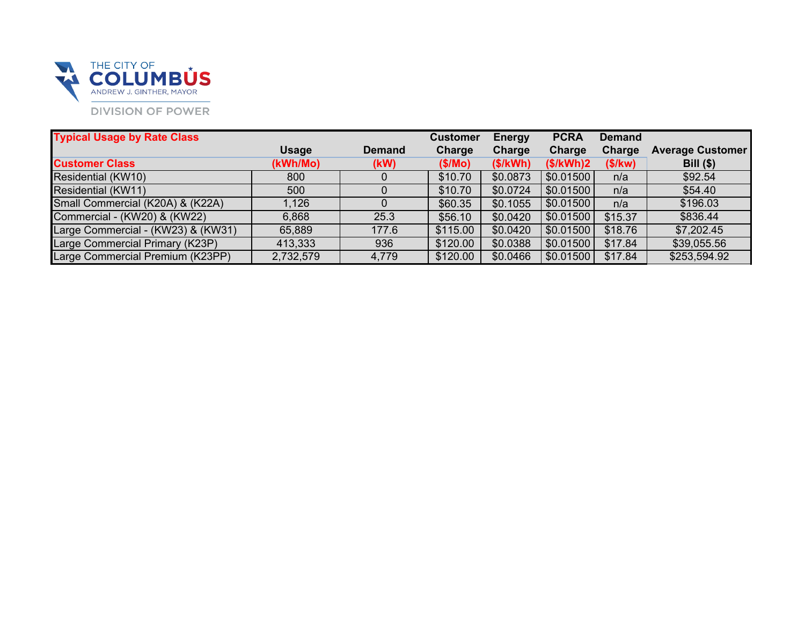

| <b>Typical Usage by Rate Class</b> |              |               | <b>Customer</b> | <b>Energy</b> | <b>PCRA</b> | <b>Demand</b> |                         |
|------------------------------------|--------------|---------------|-----------------|---------------|-------------|---------------|-------------------------|
|                                    | <b>Usage</b> | <b>Demand</b> | Charge          | Charge        | Charge      | Charge        | <b>Average Customer</b> |
| <b>Customer Class</b>              | (kWh/Mo)     | (KW)          | (S/Mo)          | (S/KWh)       | (S/KWh)2    | (S/Kw)        | $Bill$ (\$)             |
| Residential (KW10)                 | 800          |               | \$10.70         | \$0.0873      | \$0.01500   | n/a           | \$92.54                 |
| Residential (KW11)                 | 500          |               | \$10.70         | \$0.0724      | \$0.01500   | n/a           | \$54.40                 |
| Small Commercial (K20A) & (K22A)   | 1,126        |               | \$60.35         | \$0.1055      | \$0.01500   | n/a           | \$196.03                |
| Commercial - (KW20) & (KW22)       | 6,868        | 25.3          | \$56.10         | \$0.0420      | \$0.01500   | \$15.37       | \$836.44                |
| Large Commercial - (KW23) & (KW31) | 65,889       | 177.6         | \$115.00        | \$0.0420      | \$0.01500   | \$18.76       | \$7,202.45              |
| Large Commercial Primary (K23P)    | 413,333      | 936           | \$120.00        | \$0.0388      | \$0.01500   | \$17.84       | \$39,055.56             |
| Large Commercial Premium (K23PP)   | 2,732,579    | 4,779         | \$120.00        | \$0.0466      | \$0.01500   | \$17.84       | \$253,594.92            |